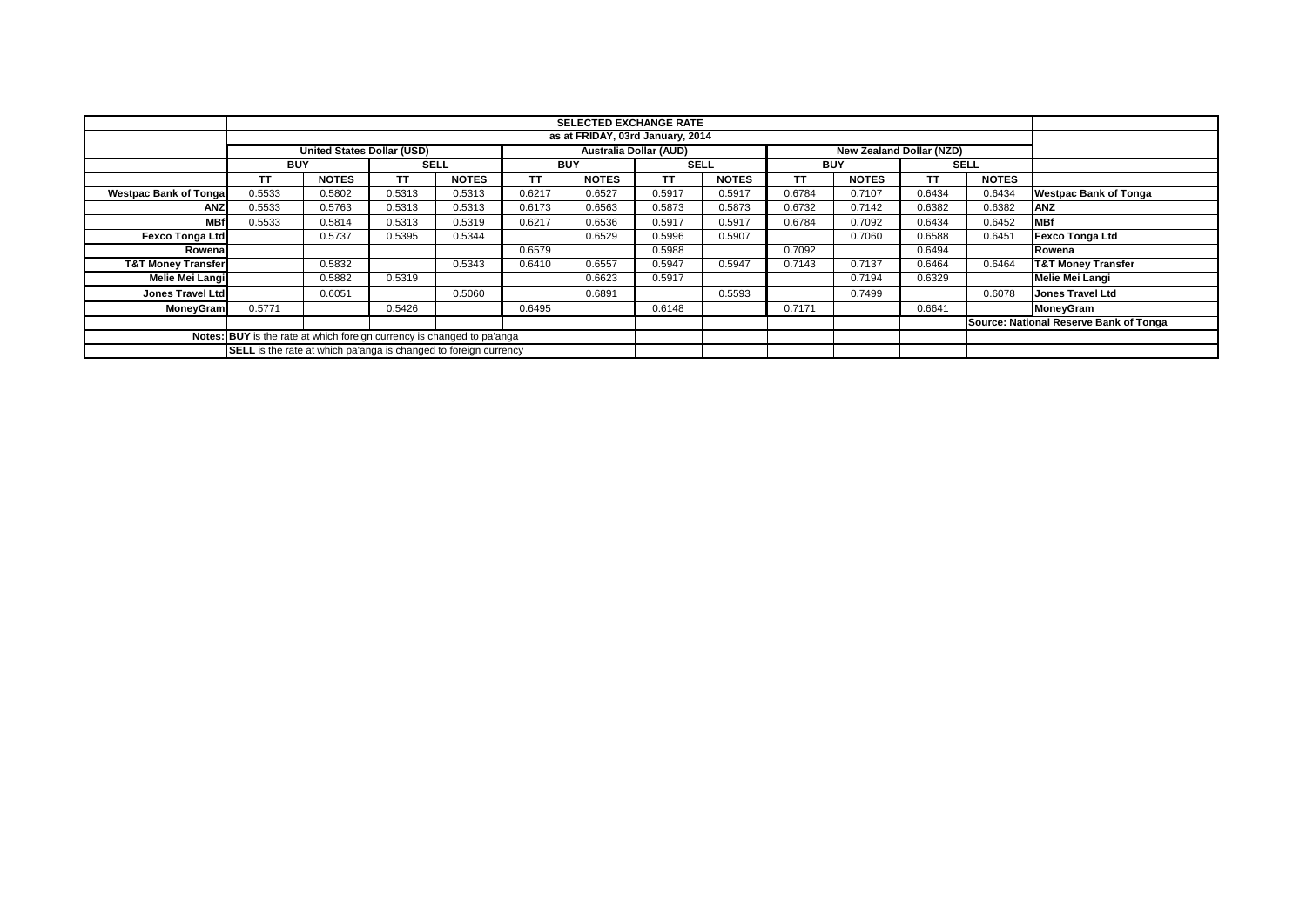|                               |                                                                         |                                   |        |              |            | <b>SELECTED EXCHANGE RATE</b> |             |              |            |                                 |        |                                        |                               |  |  |  |
|-------------------------------|-------------------------------------------------------------------------|-----------------------------------|--------|--------------|------------|-------------------------------|-------------|--------------|------------|---------------------------------|--------|----------------------------------------|-------------------------------|--|--|--|
|                               | as at FRIDAY, 03rd January, 2014                                        |                                   |        |              |            |                               |             |              |            |                                 |        |                                        |                               |  |  |  |
|                               |                                                                         | <b>United States Dollar (USD)</b> |        |              |            | <b>Australia Dollar (AUD)</b> |             |              |            | <b>New Zealand Dollar (NZD)</b> |        |                                        |                               |  |  |  |
|                               | <b>BUY</b>                                                              |                                   |        | <b>SELL</b>  | <b>BUY</b> |                               | <b>SELL</b> |              | <b>BUY</b> |                                 |        | <b>SELL</b>                            |                               |  |  |  |
|                               | <b>TT</b>                                                               | <b>NOTES</b>                      | TΤ     | <b>NOTES</b> | <b>TT</b>  | <b>NOTES</b>                  | <b>TT</b>   | <b>NOTES</b> | TT         | <b>NOTES</b>                    | ТΤ     | <b>NOTES</b>                           |                               |  |  |  |
| <b>Westpac Bank of Tonga</b>  | 0.5533                                                                  | 0.5802                            | 0.5313 | 0.5313       | 0.6217     | 0.6527                        | 0.5917      | 0.5917       | 0.6784     | 0.7107                          | 0.6434 | 0.6434                                 | <b>Westpac Bank of Tonga</b>  |  |  |  |
| ANZ                           | 0.5533                                                                  | 0.5763                            | 0.5313 | 0.5313       | 0.6173     | 0.6563                        | 0.5873      | 0.5873       | 0.6732     | 0.7142                          | 0.6382 | 0.6382                                 | <b>ANZ</b>                    |  |  |  |
| <b>MBf</b>                    | 0.5533                                                                  | 0.5814                            | 0.5313 | 0.5319       | 0.6217     | 0.6536                        | 0.5917      | 0.5917       | 0.6784     | 0.7092                          | 0.6434 | 0.6452                                 | <b>MBf</b>                    |  |  |  |
| <b>Fexco Tonga Ltd</b>        |                                                                         | 0.5737                            | 0.5395 | 0.5344       |            | 0.6529                        | 0.5996      | 0.5907       |            | 0.7060                          | 0.6588 | 0.6451                                 | <b>Fexco Tonga Ltd</b>        |  |  |  |
| Rowenal                       |                                                                         |                                   |        |              | 0.6579     |                               | 0.5988      |              | 0.7092     |                                 | 0.6494 |                                        | Rowena                        |  |  |  |
| <b>T&amp;T Money Transfer</b> |                                                                         | 0.5832                            |        | 0.5343       | 0.6410     | 0.6557                        | 0.5947      | 0.5947       | 0.7143     | 0.7137                          | 0.6464 | 0.6464                                 | <b>T&amp;T Money Transfer</b> |  |  |  |
| Melie Mei Langi               |                                                                         | 0.5882                            | 0.5319 |              |            | 0.6623                        | 0.5917      |              |            | 0.7194                          | 0.6329 |                                        | <b>Melie Mei Langi</b>        |  |  |  |
| Jones Travel Ltd              |                                                                         | 0.6051                            |        | 0.5060       |            | 0.6891                        |             | 0.5593       |            | 0.7499                          |        | 0.6078                                 | <b>Jones Travel Ltd</b>       |  |  |  |
| <b>MoneyGram</b>              | 0.5771                                                                  |                                   | 0.5426 |              | 0.6495     |                               | 0.6148      |              | 0.7171     |                                 | 0.6641 |                                        | MoneyGram                     |  |  |  |
|                               |                                                                         |                                   |        |              |            |                               |             |              |            |                                 |        | Source: National Reserve Bank of Tonga |                               |  |  |  |
|                               | Notes: BUY is the rate at which foreign currency is changed to pa'anga  |                                   |        |              |            |                               |             |              |            |                                 |        |                                        |                               |  |  |  |
|                               | <b>SELL</b> is the rate at which pa'anga is changed to foreign currency |                                   |        |              |            |                               |             |              |            |                                 |        |                                        |                               |  |  |  |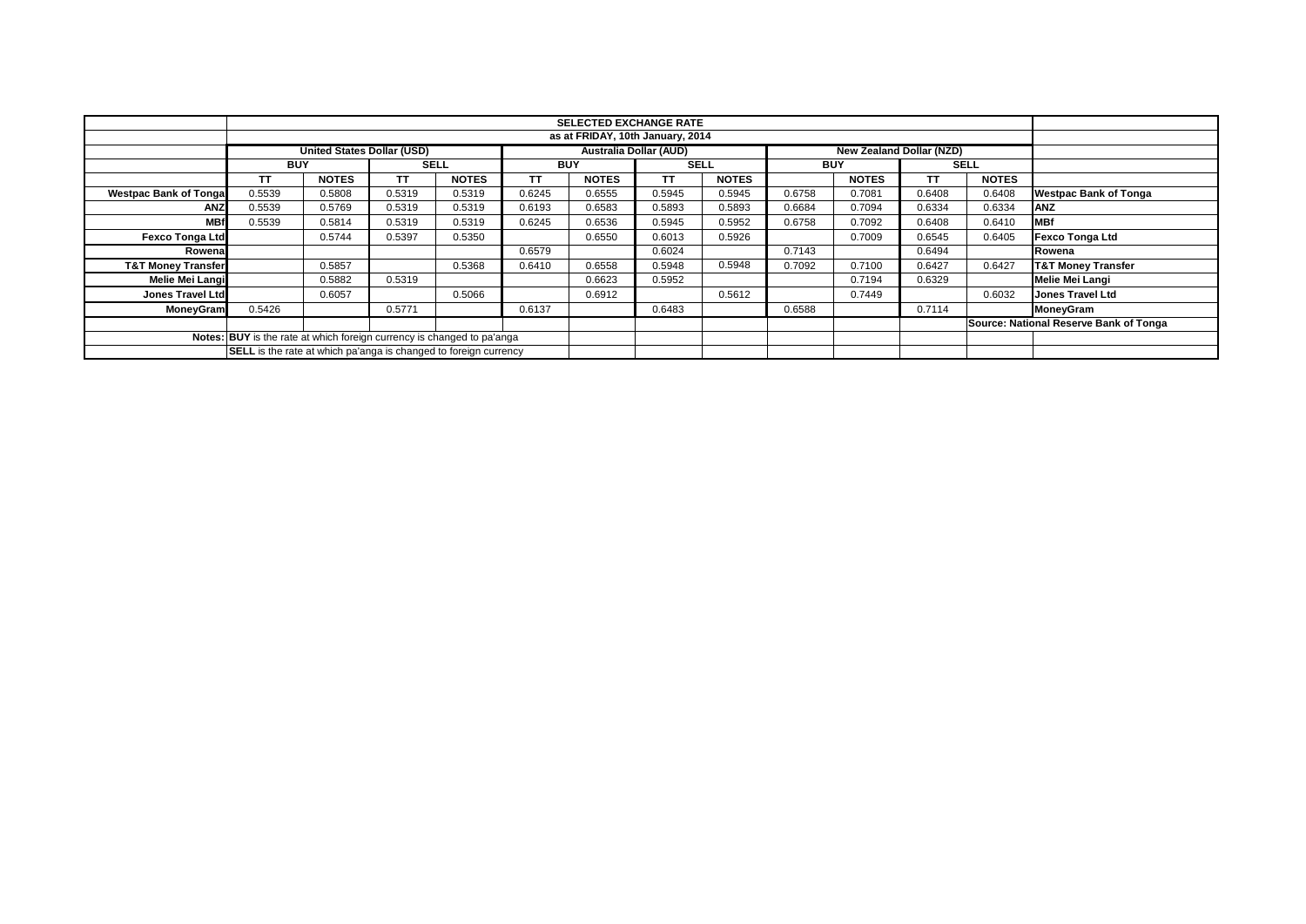|                               |                                                                         |                                   |             |              |           | <b>SELECTED EXCHANGE RATE</b> |             |              |            |                          |        |                                        |                               |  |  |  |
|-------------------------------|-------------------------------------------------------------------------|-----------------------------------|-------------|--------------|-----------|-------------------------------|-------------|--------------|------------|--------------------------|--------|----------------------------------------|-------------------------------|--|--|--|
|                               | as at FRIDAY, 10th January, 2014                                        |                                   |             |              |           |                               |             |              |            |                          |        |                                        |                               |  |  |  |
|                               |                                                                         | <b>United States Dollar (USD)</b> |             |              |           | <b>Australia Dollar (AUD)</b> |             |              |            | New Zealand Dollar (NZD) |        |                                        |                               |  |  |  |
|                               | <b>BUY</b>                                                              |                                   | <b>SELL</b> |              |           | <b>BUY</b>                    | <b>SELL</b> |              | <b>BUY</b> |                          |        | <b>SELL</b>                            |                               |  |  |  |
|                               | <b>TT</b>                                                               | <b>NOTES</b>                      | TΤ          | <b>NOTES</b> | <b>TT</b> | <b>NOTES</b>                  | <b>TT</b>   | <b>NOTES</b> |            | <b>NOTES</b>             | ТT     | <b>NOTES</b>                           |                               |  |  |  |
| <b>Westpac Bank of Tongal</b> | 0.5539                                                                  | 0.5808                            | 0.5319      | 0.5319       | 0.6245    | 0.6555                        | 0.5945      | 0.5945       | 0.6758     | 0.7081                   | 0.6408 | 0.6408                                 | <b>Westpac Bank of Tonga</b>  |  |  |  |
| <b>ANZ</b>                    | 0.5539                                                                  | 0.5769                            | 0.5319      | 0.5319       | 0.6193    | 0.6583                        | 0.5893      | 0.5893       | 0.6684     | 0.7094                   | 0.6334 | 0.6334                                 | <b>ANZ</b>                    |  |  |  |
| <b>MBf</b>                    | 0.5539                                                                  | 0.5814                            | 0.5319      | 0.5319       | 0.6245    | 0.6536                        | 0.5945      | 0.5952       | 0.6758     | 0.7092                   | 0.6408 | 0.6410                                 | <b>MBf</b>                    |  |  |  |
| <b>Fexco Tonga Ltd</b>        |                                                                         | 0.5744                            | 0.5397      | 0.5350       |           | 0.6550                        | 0.6013      | 0.5926       |            | 0.7009                   | 0.6545 | 0.6405                                 | <b>Fexco Tonga Ltd</b>        |  |  |  |
| Rowena                        |                                                                         |                                   |             |              | 0.6579    |                               | 0.6024      |              | 0.7143     |                          | 0.6494 |                                        | Rowena                        |  |  |  |
| <b>T&amp;T Money Transfer</b> |                                                                         | 0.5857                            |             | 0.5368       | 0.6410    | 0.6558                        | 0.5948      | 0.5948       | 0.7092     | 0.7100                   | 0.6427 | 0.6427                                 | <b>T&amp;T Money Transfer</b> |  |  |  |
| Melie Mei Langi               |                                                                         | 0.5882                            | 0.5319      |              |           | 0.6623                        | 0.5952      |              |            | 0.7194                   | 0.6329 |                                        | <b>Melie Mei Langi</b>        |  |  |  |
| <b>Jones Travel Ltd</b>       |                                                                         | 0.6057                            |             | 0.5066       |           | 0.6912                        |             | 0.5612       |            | 0.7449                   |        | 0.6032                                 | <b>Jones Travel Ltd</b>       |  |  |  |
| <b>MoneyGram</b>              | 0.5426                                                                  |                                   | 0.5771      |              | 0.6137    |                               | 0.6483      |              | 0.6588     |                          | 0.7114 |                                        | MoneyGram                     |  |  |  |
|                               |                                                                         |                                   |             |              |           |                               |             |              |            |                          |        | Source: National Reserve Bank of Tonga |                               |  |  |  |
| Notes:                        | <b>BUY</b> is the rate at which foreign currency is changed to pa'anga  |                                   |             |              |           |                               |             |              |            |                          |        |                                        |                               |  |  |  |
|                               | <b>SELL</b> is the rate at which pa'anga is changed to foreign currency |                                   |             |              |           |                               |             |              |            |                          |        |                                        |                               |  |  |  |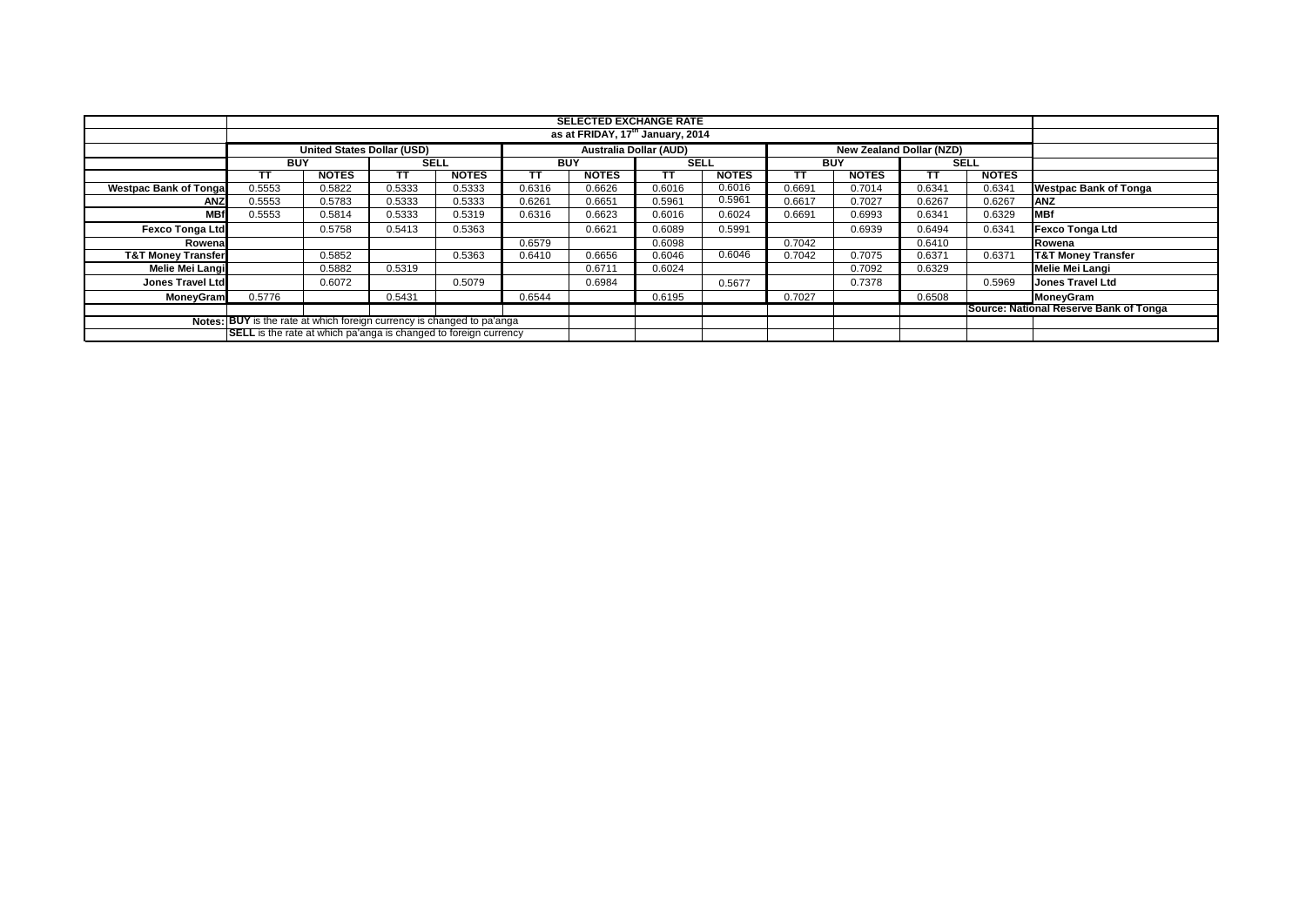| <b>SELECTED EXCHANGE RATE</b>                                          |                                                                         |              |        |              |            |              |                               |              |            |                                 |        |              |                                        |
|------------------------------------------------------------------------|-------------------------------------------------------------------------|--------------|--------|--------------|------------|--------------|-------------------------------|--------------|------------|---------------------------------|--------|--------------|----------------------------------------|
|                                                                        |                                                                         |              |        |              |            |              |                               |              |            |                                 |        |              |                                        |
|                                                                        | as at FRIDAY, 17 <sup>th</sup> January, 2014                            |              |        |              |            |              |                               |              |            |                                 |        |              |                                        |
|                                                                        | <b>United States Dollar (USD)</b>                                       |              |        |              |            |              | <b>Australia Dollar (AUD)</b> |              |            | <b>New Zealand Dollar (NZD)</b> |        |              |                                        |
|                                                                        | <b>BUY</b>                                                              |              |        | SELL         | <b>BUY</b> |              | SELL                          |              | <b>BUY</b> |                                 |        | SELL         |                                        |
|                                                                        |                                                                         | <b>NOTES</b> |        | <b>NOTES</b> | тт         | <b>NOTES</b> | TТ                            | <b>NOTES</b> | тт         | <b>NOTES</b>                    |        | <b>NOTES</b> |                                        |
| <b>Westpac Bank of Tongal</b>                                          | 0.5553                                                                  | 0.5822       | 0.5333 | 0.5333       | 0.6316     | 0.6626       | 0.6016                        | 0.6016       | 0.6691     | 0.7014                          | 0.6341 | 0.6341       | <b>Westpac Bank of Tonga</b>           |
| <b>ANZ</b>                                                             | 0.5553                                                                  | 0.5783       | 0.5333 | 0.5333       | 0.6261     | 0.6651       | 0.5961                        | 0.5961       | 0.6617     | 0.7027                          | 0.6267 | 0.6267       | <b>ANZ</b>                             |
| <b>MB1</b>                                                             | 0.5553                                                                  | 0.5814       | 0.5333 | 0.5319       | 0.6316     | 0.6623       | 0.6016                        | 0.6024       | 0.6691     | 0.6993                          | 0.6341 | 0.6329       | <b>MBf</b>                             |
| <b>Fexco Tonga Ltd</b>                                                 |                                                                         | 0.5758       | 0.5413 | 0.5363       |            | 0.6621       | 0.6089                        | 0.5991       |            | 0.6939                          | 0.6494 | 0.6341       | <b>Fexco Tonga Ltd</b>                 |
| Rowena                                                                 |                                                                         |              |        |              | 0.6579     |              | 0.6098                        |              | 0.7042     |                                 | 0.6410 |              | Rowena                                 |
| <b>T&amp;T Money Transfer</b>                                          |                                                                         | 0.5852       |        | 0.5363       | 0.6410     | 0.6656       | 0.6046                        | 0.6046       | 0.7042     | 0.7075                          | 0.6371 | 0.6371       | <b>T&amp;T Money Transfer</b>          |
| Melie Mei Langi                                                        |                                                                         | 0.5882       | 0.5319 |              |            | 0.6711       | 0.6024                        |              |            | 0.7092                          | 0.6329 |              | <b>Melie Mei Langi</b>                 |
| <b>Jones Travel Ltd</b>                                                |                                                                         | 0.6072       |        | 0.5079       |            | 0.6984       |                               | 0.5677       |            | 0.7378                          |        | 0.5969       | <b>Jones Travel Ltd</b>                |
| MoneyGram                                                              | 0.5776                                                                  |              | 0.5431 |              | 0.6544     |              | 0.6195                        |              | 0.7027     |                                 | 0.6508 |              | MoneyGram                              |
|                                                                        |                                                                         |              |        |              |            |              |                               |              |            |                                 |        |              | Source: National Reserve Bank of Tonga |
| Notes: BUY is the rate at which foreign currency is changed to pa'anga |                                                                         |              |        |              |            |              |                               |              |            |                                 |        |              |                                        |
|                                                                        | <b>SELL</b> is the rate at which pa'anga is changed to foreign currency |              |        |              |            |              |                               |              |            |                                 |        |              |                                        |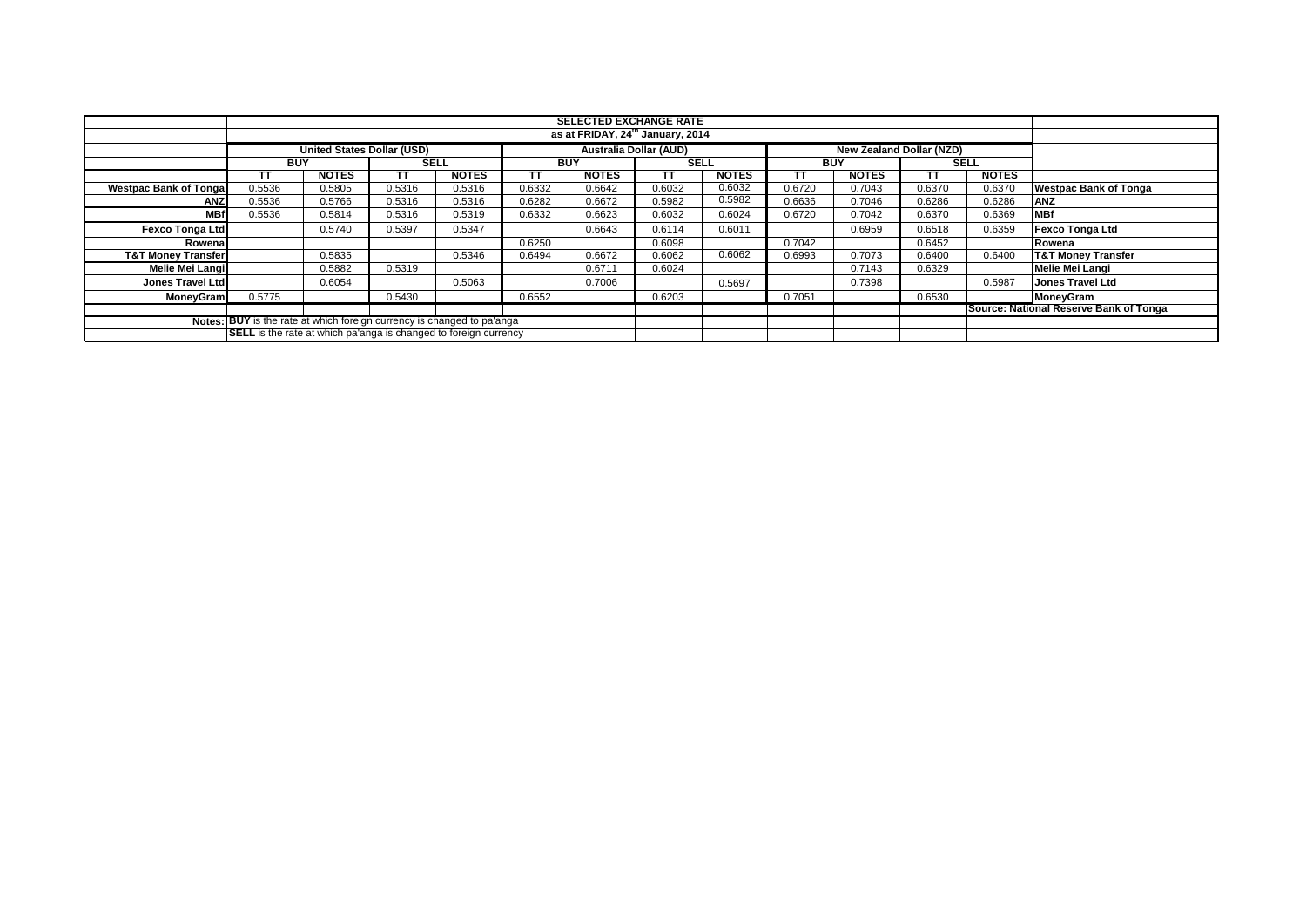|                               | <b>SELECTED EXCHANGE RATE</b>                                                                         |              |        |              |        |                    |        |              |        |              |        |              |                                        |
|-------------------------------|-------------------------------------------------------------------------------------------------------|--------------|--------|--------------|--------|--------------------|--------|--------------|--------|--------------|--------|--------------|----------------------------------------|
|                               | as at FRIDAY, 24 <sup>th</sup> January, 2014                                                          |              |        |              |        |                    |        |              |        |              |        |              |                                        |
|                               | <b>Australia Dollar (AUD)</b><br><b>United States Dollar (USD)</b><br><b>New Zealand Dollar (NZD)</b> |              |        |              |        |                    |        |              |        |              |        |              |                                        |
|                               | <b>BUY</b>                                                                                            |              |        | <b>SELL</b>  |        | <b>BUY</b><br>SELL |        |              |        | <b>BUY</b>   |        | <b>SELL</b>  |                                        |
|                               |                                                                                                       |              |        |              |        |                    |        |              |        |              |        |              |                                        |
|                               | тт                                                                                                    | <b>NOTES</b> |        | <b>NOTES</b> | тт     | <b>NOTES</b>       | ΤТ     | <b>NOTES</b> | тт     | <b>NOTES</b> | тт     | <b>NOTES</b> |                                        |
| <b>Westpac Bank of Tongal</b> | 0.5536                                                                                                | 0.5805       | 0.5316 | 0.5316       | 0.6332 | 0.6642             | 0.6032 | 0.6032       | 0.6720 | 0.7043       | 0.6370 | 0.6370       | <b>Westpac Bank of Tonga</b>           |
| ANZ                           | 0.5536                                                                                                | 0.5766       | 0.5316 | 0.5316       | 0.6282 | 0.6672             | 0.5982 | 0.5982       | 0.6636 | 0.7046       | 0.6286 | 0.6286       | <b>ANZ</b>                             |
| <b>MB</b>                     | 0.5536                                                                                                | 0.5814       | 0.5316 | 0.5319       | 0.6332 | 0.6623             | 0.6032 | 0.6024       | 0.6720 | 0.7042       | 0.6370 | 0.6369       | <b>MBf</b>                             |
| <b>Fexco Tonga Ltd</b>        |                                                                                                       | 0.5740       | 0.5397 | 0.5347       |        | 0.6643             | 0.6114 | 0.6011       |        | 0.6959       | 0.6518 | 0.6359       | <b>Fexco Tonga Ltd</b>                 |
| Rowena                        |                                                                                                       |              |        |              | 0.6250 |                    | 0.6098 |              | 0.7042 |              | 0.6452 |              | Rowena                                 |
| <b>T&amp;T Money Transfer</b> |                                                                                                       | 0.5835       |        | 0.5346       | 0.6494 | 0.6672             | 0.6062 | 0.6062       | 0.6993 | 0.7073       | 0.6400 | 0.6400       | <b>T&amp;T Money Transfer</b>          |
| Melie Mei Langi               |                                                                                                       | 0.5882       | 0.5319 |              |        | 0.6711             | 0.6024 |              |        | 0.7143       | 0.6329 |              | Melie Mei Langi                        |
| Jones Travel Ltd              |                                                                                                       | 0.6054       |        | 0.5063       |        | 0.7006             |        | 0.5697       |        | 0.7398       |        | 0.5987       | <b>Jones Travel Ltd</b>                |
| MoneyGram                     | 0.5775                                                                                                |              | 0.5430 |              | 0.6552 |                    | 0.6203 |              | 0.7051 |              | 0.6530 |              | MoneyGram                              |
|                               |                                                                                                       |              |        |              |        |                    |        |              |        |              |        |              | Source: National Reserve Bank of Tonga |
|                               | Notes: BUY is the rate at which foreign currency is changed to pa'anga                                |              |        |              |        |                    |        |              |        |              |        |              |                                        |
|                               | <b>SELL</b> is the rate at which pa'anga is changed to foreign currency                               |              |        |              |        |                    |        |              |        |              |        |              |                                        |